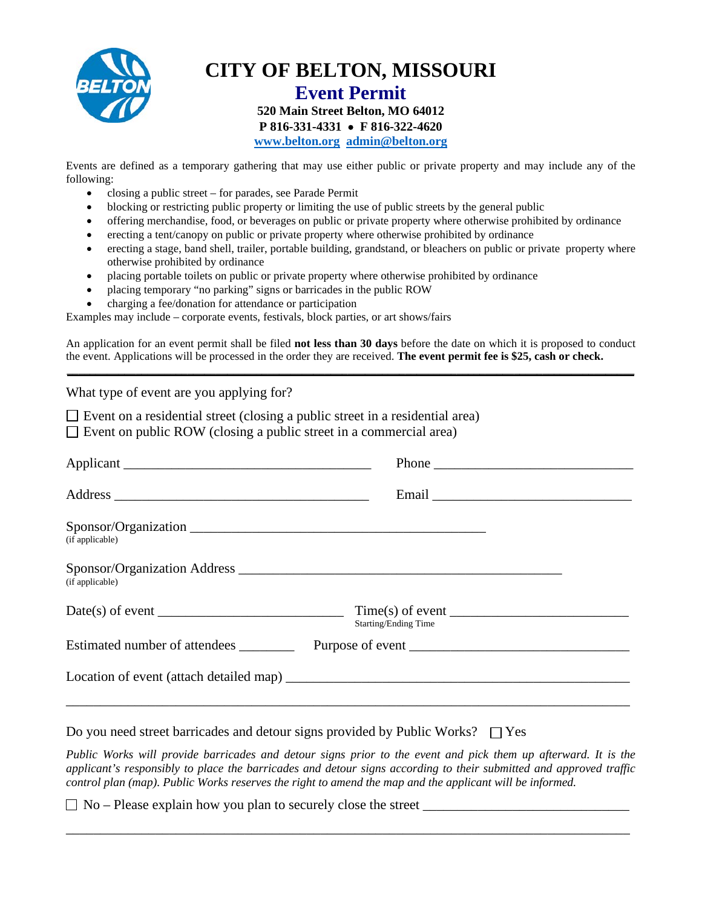

**CITY OF BELTON, MISSOURI**

## **Event Permit 520 Main Street Belton, MO 64012 P 816-331-4331** • **F 816-322-4620 [www.belton.org](http://www.belton.org/) [admin@belton.org](mailto:admin@belton.org)**

Events are defined as a temporary gathering that may use either public or private property and may include any of the following:

- closing a public street for parades, see Parade Permit
- blocking or restricting public property or limiting the use of public streets by the general public
- offering merchandise, food, or beverages on public or private property where otherwise prohibited by ordinance
- erecting a tent/canopy on public or private property where otherwise prohibited by ordinance
- erecting a stage, band shell, trailer, portable building, grandstand, or bleachers on public or private property where otherwise prohibited by ordinance
- placing portable toilets on public or private property where otherwise prohibited by ordinance
- placing temporary "no parking" signs or barricades in the public ROW
- charging a fee/donation for attendance or participation

Examples may include – corporate events, festivals, block parties, or art shows/fairs

An application for an event permit shall be filed **not less than 30 days** before the date on which it is proposed to conduct the event. Applications will be processed in the order they are received. **The event permit fee is \$25, cash or check. \_\_\_\_\_\_\_\_\_\_\_\_\_\_\_\_\_\_\_\_\_\_\_\_\_\_\_\_\_\_\_\_\_\_\_\_\_\_\_\_\_\_\_\_\_\_\_\_\_\_\_\_\_\_\_\_\_\_\_\_\_\_\_\_\_\_\_\_\_\_\_\_\_\_\_\_\_\_\_\_\_\_\_\_\_\_\_\_\_\_\_\_\_\_\_\_\_\_\_**

What type of event are you applying for?  $\square$  Event on a residential street (closing a public street in a residential area)  $\Box$  Event on public ROW (closing a public street in a commercial area) Applicant \_\_\_\_\_\_\_\_\_\_\_\_\_\_\_\_\_\_\_\_\_\_\_\_\_\_\_\_\_\_\_\_\_\_\_\_ Phone \_\_\_\_\_\_\_\_\_\_\_\_\_\_\_\_\_\_\_\_\_\_\_\_\_\_\_\_\_ Address **Email**  $\blacksquare$ Sponsor/Organization (if applicable) Sponsor/Organization Address  $\blacksquare$ (if applicable)  $Date(s)$  of event  $\overline{\text{Time}(s)}$  of event  $\overline{\text{Time}(s)}$ Starting/Ending Time Estimated number of attendees \_\_\_\_\_\_\_\_\_\_\_ Purpose of event \_\_\_\_\_\_\_\_\_\_\_\_\_\_\_\_\_\_\_\_\_ Location of event (attach detailed map) \_\_\_\_\_\_\_\_\_\_\_\_\_\_\_\_\_\_\_\_\_\_\_\_\_\_\_\_\_\_\_\_\_\_\_\_\_\_\_\_\_\_\_\_\_\_\_\_\_\_ \_\_\_\_\_\_\_\_\_\_\_\_\_\_\_\_\_\_\_\_\_\_\_\_\_\_\_\_\_\_\_\_\_\_\_\_\_\_\_\_\_\_\_\_\_\_\_\_\_\_\_\_\_\_\_\_\_\_\_\_\_\_\_\_\_\_\_\_\_\_\_\_\_\_\_\_\_\_\_\_\_\_ Do you need street barricades and detour signs provided by Public Works?  $\Box$  Yes *Public Works will provide barricades and detour signs prior to the event and pick them up afterward. It is the applicant's responsibly to place the barricades and detour signs according to their submitted and approved traffic control plan (map). Public Works reserves the right to amend the map and the applicant will be informed.*

 $\Box$  No – Please explain how you plan to securely close the street  $\Box$ 

\_\_\_\_\_\_\_\_\_\_\_\_\_\_\_\_\_\_\_\_\_\_\_\_\_\_\_\_\_\_\_\_\_\_\_\_\_\_\_\_\_\_\_\_\_\_\_\_\_\_\_\_\_\_\_\_\_\_\_\_\_\_\_\_\_\_\_\_\_\_\_\_\_\_\_\_\_\_\_\_\_\_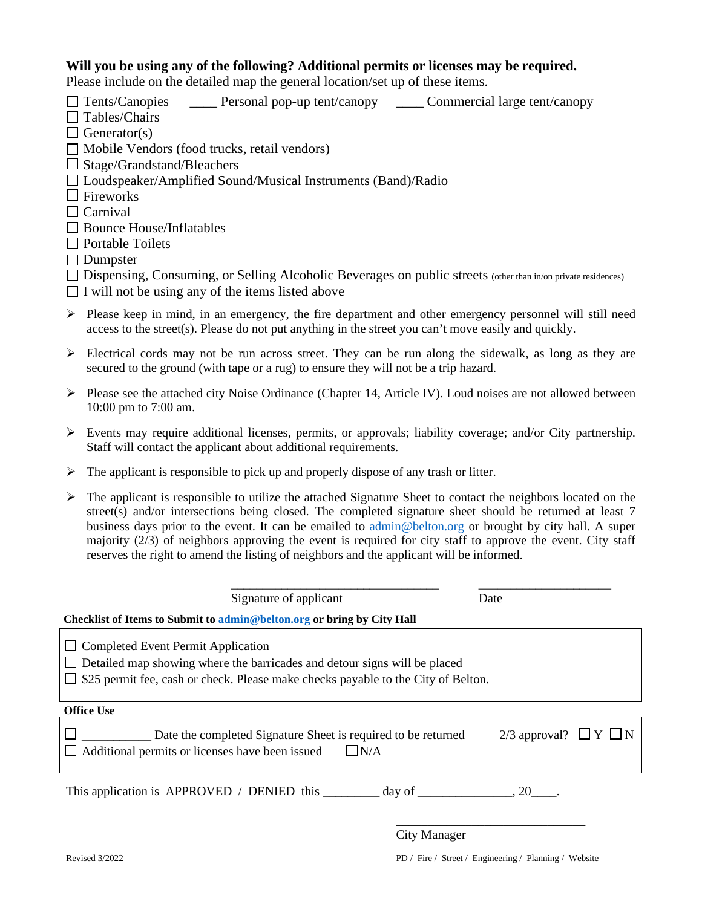## **Will you be using any of the following? Additional permits or licenses may be required.**

Please include on the detailed map the general location/set up of these items.

- Tents/Canopies \_\_\_\_ Personal pop-up tent/canopy \_\_\_\_ Commercial large tent/canopy
- $\Box$  Tables/Chairs
- $\Box$  Generator(s)
- $\Box$  Mobile Vendors (food trucks, retail vendors)
- $\Box$  Stage/Grandstand/Bleachers
- Loudspeaker/Amplified Sound/Musical Instruments (Band)/Radio
- $\Box$  Fireworks
- $\Box$  Carnival
- □ Bounce House/Inflatables
- $\Box$  Portable Toilets
- $\Box$  Dumpster
- □ Dispensing, Consuming, or Selling Alcoholic Beverages on public streets (other than in/on private residences)
- $\Box$  I will not be using any of the items listed above
- Please keep in mind, in an emergency, the fire department and other emergency personnel will still need access to the street(s). Please do not put anything in the street you can't move easily and quickly.
- $\triangleright$  Electrical cords may not be run across street. They can be run along the sidewalk, as long as they are secured to the ground (with tape or a rug) to ensure they will not be a trip hazard.
- $\triangleright$  Please see the attached city Noise Ordinance (Chapter 14, Article IV). Loud noises are not allowed between 10:00 pm to 7:00 am.
- Events may require additional licenses, permits, or approvals; liability coverage; and/or City partnership. Staff will contact the applicant about additional requirements.
- $\triangleright$  The applicant is responsible to pick up and properly dispose of any trash or litter.
- $\triangleright$  The applicant is responsible to utilize the attached Signature Sheet to contact the neighbors located on the street(s) and/or intersections being closed. The completed signature sheet should be returned at least 7 business days prior to the event. It can be emailed to [admin@belton.org](mailto:admin@belton.org) or brought by city hall. A super majority (2/3) of neighbors approving the event is required for city staff to approve the event. City staff reserves the right to amend the listing of neighbors and the applicant will be informed.

|                                                                                                | Signature of applicant | Date                                                          |                               |  |  |  |  |  |  |
|------------------------------------------------------------------------------------------------|------------------------|---------------------------------------------------------------|-------------------------------|--|--|--|--|--|--|
| Checklist of Items to Submit to admin@belton.org or bring by City Hall                         |                        |                                                               |                               |  |  |  |  |  |  |
| <b>Completed Event Permit Application</b>                                                      |                        |                                                               |                               |  |  |  |  |  |  |
|                                                                                                |                        |                                                               |                               |  |  |  |  |  |  |
| Detailed map showing where the barricades and detour signs will be placed                      |                        |                                                               |                               |  |  |  |  |  |  |
| \$25 permit fee, cash or check. Please make checks payable to the City of Belton.              |                        |                                                               |                               |  |  |  |  |  |  |
|                                                                                                |                        |                                                               |                               |  |  |  |  |  |  |
| <b>Office Use</b>                                                                              |                        |                                                               |                               |  |  |  |  |  |  |
|                                                                                                |                        | Date the completed Signature Sheet is required to be returned | 2/3 approval? $\Box Y \Box N$ |  |  |  |  |  |  |
| Additional permits or licenses have been issued                                                |                        | $\Box$ N/A                                                    |                               |  |  |  |  |  |  |
|                                                                                                |                        |                                                               |                               |  |  |  |  |  |  |
| This application is APPROVED / DENIED this $\qquad \qquad$ day of $\qquad \qquad .20 \qquad .$ |                        |                                                               |                               |  |  |  |  |  |  |
|                                                                                                |                        |                                                               |                               |  |  |  |  |  |  |
|                                                                                                |                        |                                                               |                               |  |  |  |  |  |  |
|                                                                                                |                        | <b>City Manager</b>                                           |                               |  |  |  |  |  |  |

Revised 3/2022 PD / Fire / Street / Engineering / Planning / Website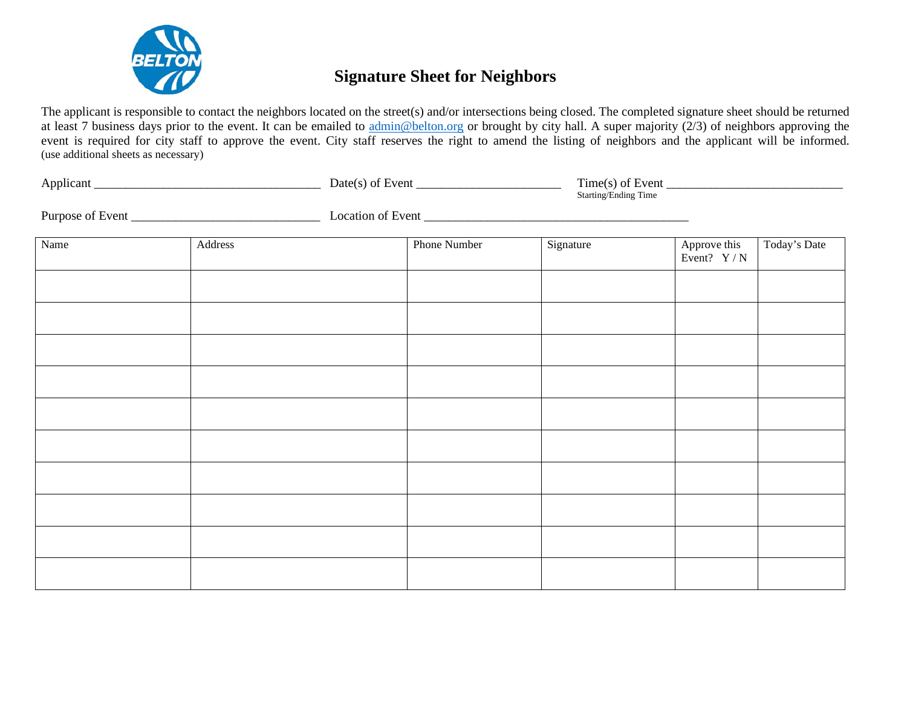

# **Signature Sheet for Neighbors**

The applicant is responsible to contact the neighbors located on the street(s) and/or intersections being closed. The completed signature sheet should be returned at least 7 business days prior to the event. It can be emailed to [admin@belton.org](mailto:admin@belton.org) or brought by city hall. A super majority (2/3) of neighbors approving the event is required for city staff to approve the event. City staff reserves the right to amend the listing of neighbors and the applicant will be informed. (use additional sheets as necessary)

|      |         |  | $Date(s)$ of Event $\_\_\_\_\_\_\_\_\_\_\_\_\_\_\_\_\_\_\_\_\_\_\_\_\_\_\_\_\_\_$ | Starting/Ending Time |                              |              |  |
|------|---------|--|-----------------------------------------------------------------------------------|----------------------|------------------------------|--------------|--|
|      |         |  |                                                                                   |                      |                              |              |  |
| Name | Address |  | Phone Number                                                                      | Signature            | Approve this<br>Event? $Y/N$ | Today's Date |  |
|      |         |  |                                                                                   |                      |                              |              |  |
|      |         |  |                                                                                   |                      |                              |              |  |
|      |         |  |                                                                                   |                      |                              |              |  |
|      |         |  |                                                                                   |                      |                              |              |  |
|      |         |  |                                                                                   |                      |                              |              |  |
|      |         |  |                                                                                   |                      |                              |              |  |
|      |         |  |                                                                                   |                      |                              |              |  |
|      |         |  |                                                                                   |                      |                              |              |  |
|      |         |  |                                                                                   |                      |                              |              |  |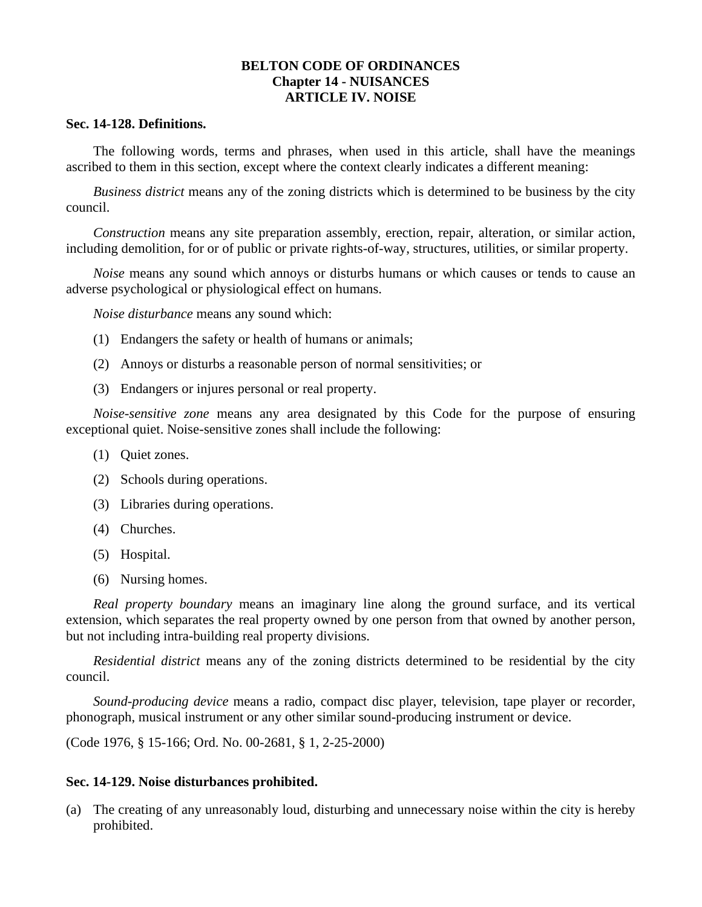# **BELTON CODE OF ORDINANCES Chapter 14 - NUISANCES ARTICLE IV. NOISE**

#### **Sec. 14-128. Definitions.**

The following words, terms and phrases, when used in this article, shall have the meanings ascribed to them in this section, except where the context clearly indicates a different meaning:

*Business district* means any of the zoning districts which is determined to be business by the city council.

*Construction* means any site preparation assembly, erection, repair, alteration, or similar action, including demolition, for or of public or private rights-of-way, structures, utilities, or similar property.

*Noise* means any sound which annoys or disturbs humans or which causes or tends to cause an adverse psychological or physiological effect on humans.

*Noise disturbance* means any sound which:

- (1) Endangers the safety or health of humans or animals;
- (2) Annoys or disturbs a reasonable person of normal sensitivities; or
- (3) Endangers or injures personal or real property.

*Noise-sensitive zone* means any area designated by this Code for the purpose of ensuring exceptional quiet. Noise-sensitive zones shall include the following:

- (1) Quiet zones.
- (2) Schools during operations.
- (3) Libraries during operations.
- (4) Churches.
- (5) Hospital.
- (6) Nursing homes.

*Real property boundary* means an imaginary line along the ground surface, and its vertical extension, which separates the real property owned by one person from that owned by another person, but not including intra-building real property divisions.

*Residential district* means any of the zoning districts determined to be residential by the city council.

*Sound-producing device* means a radio, compact disc player, television, tape player or recorder, phonograph, musical instrument or any other similar sound-producing instrument or device.

(Code 1976, § 15-166; Ord. No. 00-2681, § 1, 2-25-2000)

#### **Sec. 14-129. Noise disturbances prohibited.**

(a) The creating of any unreasonably loud, disturbing and unnecessary noise within the city is hereby prohibited.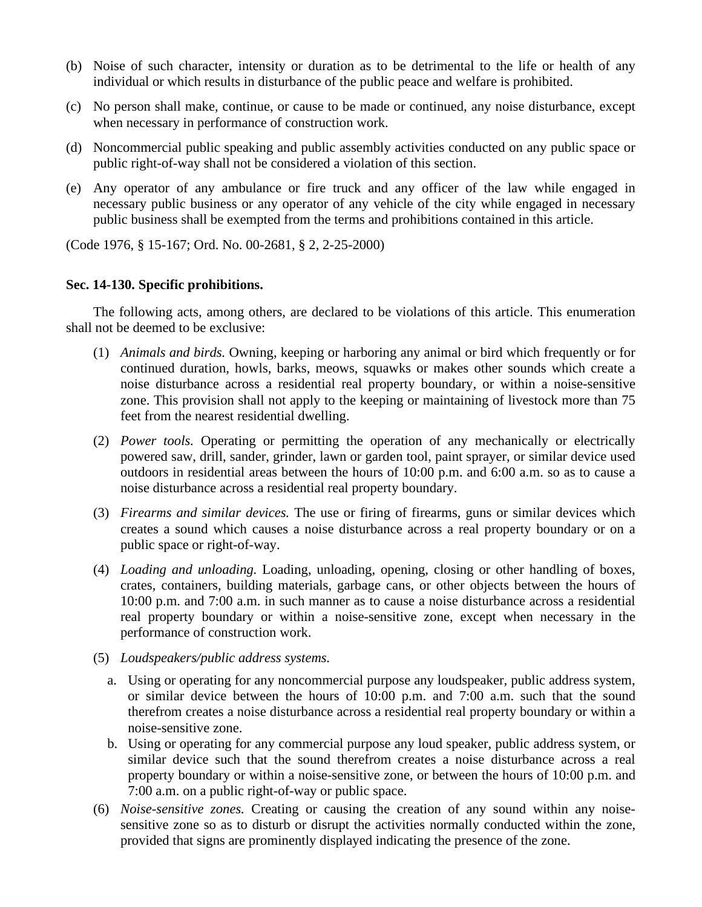- (b) Noise of such character, intensity or duration as to be detrimental to the life or health of any individual or which results in disturbance of the public peace and welfare is prohibited.
- (c) No person shall make, continue, or cause to be made or continued, any noise disturbance, except when necessary in performance of construction work.
- (d) Noncommercial public speaking and public assembly activities conducted on any public space or public right-of-way shall not be considered a violation of this section.
- (e) Any operator of any ambulance or fire truck and any officer of the law while engaged in necessary public business or any operator of any vehicle of the city while engaged in necessary public business shall be exempted from the terms and prohibitions contained in this article.

(Code 1976, § 15-167; Ord. No. 00-2681, § 2, 2-25-2000)

### **Sec. 14-130. Specific prohibitions.**

The following acts, among others, are declared to be violations of this article. This enumeration shall not be deemed to be exclusive:

- (1) *Animals and birds.* Owning, keeping or harboring any animal or bird which frequently or for continued duration, howls, barks, meows, squawks or makes other sounds which create a noise disturbance across a residential real property boundary, or within a noise-sensitive zone. This provision shall not apply to the keeping or maintaining of livestock more than 75 feet from the nearest residential dwelling.
- (2) *Power tools.* Operating or permitting the operation of any mechanically or electrically powered saw, drill, sander, grinder, lawn or garden tool, paint sprayer, or similar device used outdoors in residential areas between the hours of 10:00 p.m. and 6:00 a.m. so as to cause a noise disturbance across a residential real property boundary.
- (3) *Firearms and similar devices.* The use or firing of firearms, guns or similar devices which creates a sound which causes a noise disturbance across a real property boundary or on a public space or right-of-way.
- (4) *Loading and unloading.* Loading, unloading, opening, closing or other handling of boxes, crates, containers, building materials, garbage cans, or other objects between the hours of 10:00 p.m. and 7:00 a.m. in such manner as to cause a noise disturbance across a residential real property boundary or within a noise-sensitive zone, except when necessary in the performance of construction work.
- (5) *Loudspeakers/public address systems.*
	- a. Using or operating for any noncommercial purpose any loudspeaker, public address system, or similar device between the hours of 10:00 p.m. and 7:00 a.m. such that the sound therefrom creates a noise disturbance across a residential real property boundary or within a noise-sensitive zone.
	- b. Using or operating for any commercial purpose any loud speaker, public address system, or similar device such that the sound therefrom creates a noise disturbance across a real property boundary or within a noise-sensitive zone, or between the hours of 10:00 p.m. and 7:00 a.m. on a public right-of-way or public space.
- (6) *Noise-sensitive zones.* Creating or causing the creation of any sound within any noisesensitive zone so as to disturb or disrupt the activities normally conducted within the zone, provided that signs are prominently displayed indicating the presence of the zone.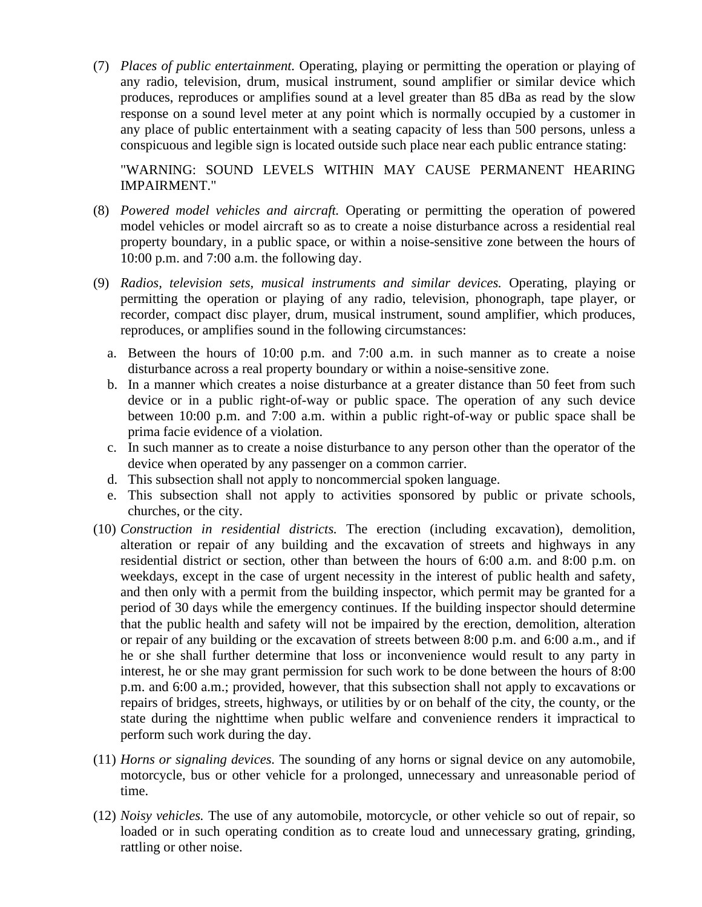(7) *Places of public entertainment.* Operating, playing or permitting the operation or playing of any radio, television, drum, musical instrument, sound amplifier or similar device which produces, reproduces or amplifies sound at a level greater than 85 dBa as read by the slow response on a sound level meter at any point which is normally occupied by a customer in any place of public entertainment with a seating capacity of less than 500 persons, unless a conspicuous and legible sign is located outside such place near each public entrance stating:

"WARNING: SOUND LEVELS WITHIN MAY CAUSE PERMANENT HEARING IMPAIRMENT."

- (8) *Powered model vehicles and aircraft.* Operating or permitting the operation of powered model vehicles or model aircraft so as to create a noise disturbance across a residential real property boundary, in a public space, or within a noise-sensitive zone between the hours of 10:00 p.m. and 7:00 a.m. the following day.
- (9) *Radios, television sets, musical instruments and similar devices.* Operating, playing or permitting the operation or playing of any radio, television, phonograph, tape player, or recorder, compact disc player, drum, musical instrument, sound amplifier, which produces, reproduces, or amplifies sound in the following circumstances:
	- a. Between the hours of 10:00 p.m. and 7:00 a.m. in such manner as to create a noise disturbance across a real property boundary or within a noise-sensitive zone.
	- b. In a manner which creates a noise disturbance at a greater distance than 50 feet from such device or in a public right-of-way or public space. The operation of any such device between 10:00 p.m. and 7:00 a.m. within a public right-of-way or public space shall be prima facie evidence of a violation.
	- c. In such manner as to create a noise disturbance to any person other than the operator of the device when operated by any passenger on a common carrier.
	- d. This subsection shall not apply to noncommercial spoken language.
	- e. This subsection shall not apply to activities sponsored by public or private schools, churches, or the city.
- (10) *Construction in residential districts.* The erection (including excavation), demolition, alteration or repair of any building and the excavation of streets and highways in any residential district or section, other than between the hours of 6:00 a.m. and 8:00 p.m. on weekdays, except in the case of urgent necessity in the interest of public health and safety, and then only with a permit from the building inspector, which permit may be granted for a period of 30 days while the emergency continues. If the building inspector should determine that the public health and safety will not be impaired by the erection, demolition, alteration or repair of any building or the excavation of streets between 8:00 p.m. and 6:00 a.m., and if he or she shall further determine that loss or inconvenience would result to any party in interest, he or she may grant permission for such work to be done between the hours of 8:00 p.m. and 6:00 a.m.; provided, however, that this subsection shall not apply to excavations or repairs of bridges, streets, highways, or utilities by or on behalf of the city, the county, or the state during the nighttime when public welfare and convenience renders it impractical to perform such work during the day.
- (11) *Horns or signaling devices.* The sounding of any horns or signal device on any automobile, motorcycle, bus or other vehicle for a prolonged, unnecessary and unreasonable period of time.
- (12) *Noisy vehicles.* The use of any automobile, motorcycle, or other vehicle so out of repair, so loaded or in such operating condition as to create loud and unnecessary grating, grinding, rattling or other noise.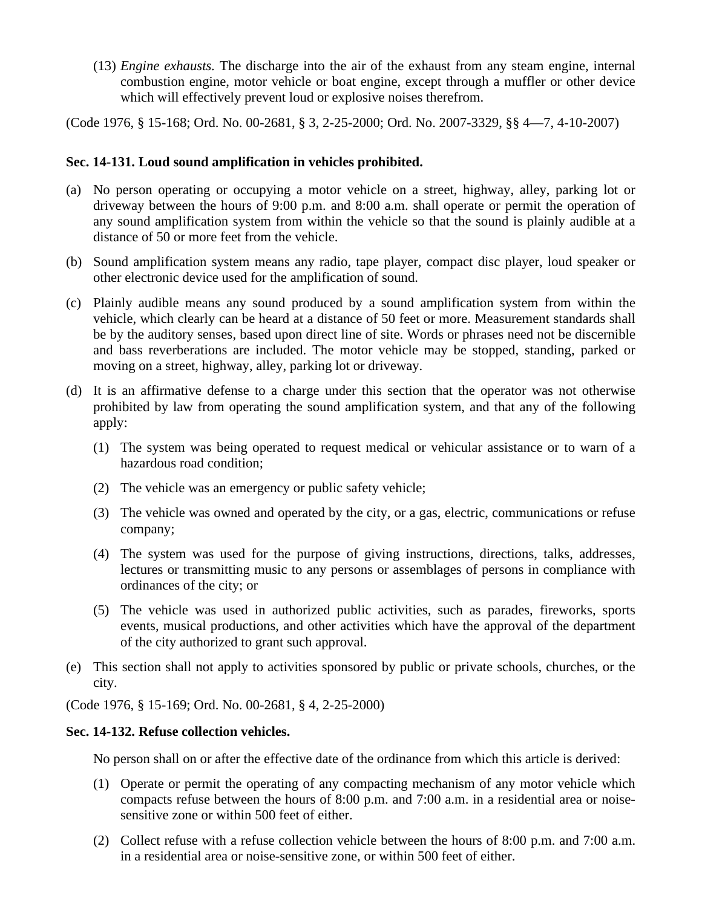(13) *Engine exhausts.* The discharge into the air of the exhaust from any steam engine, internal combustion engine, motor vehicle or boat engine, except through a muffler or other device which will effectively prevent loud or explosive noises therefrom.

(Code 1976, § 15-168; Ord. No. 00-2681, § 3, 2-25-2000; Ord. No. 2007-3329, §§ 4—7, 4-10-2007)

#### **Sec. 14-131. Loud sound amplification in vehicles prohibited.**

- (a) No person operating or occupying a motor vehicle on a street, highway, alley, parking lot or driveway between the hours of 9:00 p.m. and 8:00 a.m. shall operate or permit the operation of any sound amplification system from within the vehicle so that the sound is plainly audible at a distance of 50 or more feet from the vehicle.
- (b) Sound amplification system means any radio, tape player, compact disc player, loud speaker or other electronic device used for the amplification of sound.
- (c) Plainly audible means any sound produced by a sound amplification system from within the vehicle, which clearly can be heard at a distance of 50 feet or more. Measurement standards shall be by the auditory senses, based upon direct line of site. Words or phrases need not be discernible and bass reverberations are included. The motor vehicle may be stopped, standing, parked or moving on a street, highway, alley, parking lot or driveway.
- (d) It is an affirmative defense to a charge under this section that the operator was not otherwise prohibited by law from operating the sound amplification system, and that any of the following apply:
	- (1) The system was being operated to request medical or vehicular assistance or to warn of a hazardous road condition;
	- (2) The vehicle was an emergency or public safety vehicle;
	- (3) The vehicle was owned and operated by the city, or a gas, electric, communications or refuse company;
	- (4) The system was used for the purpose of giving instructions, directions, talks, addresses, lectures or transmitting music to any persons or assemblages of persons in compliance with ordinances of the city; or
	- (5) The vehicle was used in authorized public activities, such as parades, fireworks, sports events, musical productions, and other activities which have the approval of the department of the city authorized to grant such approval.
- (e) This section shall not apply to activities sponsored by public or private schools, churches, or the city.

(Code 1976, § 15-169; Ord. No. 00-2681, § 4, 2-25-2000)

#### **Sec. 14-132. Refuse collection vehicles.**

No person shall on or after the effective date of the ordinance from which this article is derived:

- (1) Operate or permit the operating of any compacting mechanism of any motor vehicle which compacts refuse between the hours of 8:00 p.m. and 7:00 a.m. in a residential area or noisesensitive zone or within 500 feet of either.
- (2) Collect refuse with a refuse collection vehicle between the hours of 8:00 p.m. and 7:00 a.m. in a residential area or noise-sensitive zone, or within 500 feet of either.